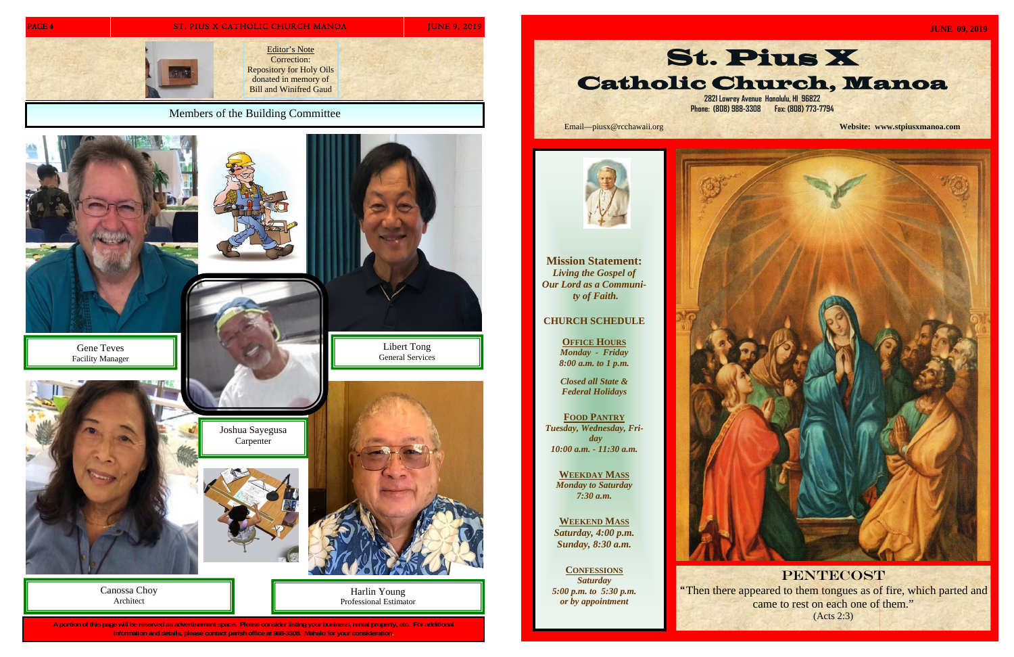**A portion of this page will be reserved as advertisement space. Please consider listing your business, rental property, etc. For additional information and details, please contact parish office at 988-3308. Mahalo for your consideration.** 



Harlin Young Professional Estimator

Canossa Choy Architect

**Mission Statement:**  *Living the Gospel of Our Lord as a Community of Faith.* 

**CHURCH SCHEDULE** 

**OFFICE HOURS** *Monday - Friday 8:00 a.m. to 1 p.m.* 

*Closed all State &* 

*Federal Holidays*  **FOOD PANTRY** *Tuesday, Wednesday, Friday* 

*10:00 a.m. - 11:30 a.m.* 

**WEEKDAY MASS** *Monday to Saturday 7:30 a.m.* 

**WEEKEND MASS***Saturday, 4:00 p.m. Sunday, 8:30 a.m.* 

**CONFESSIONS** *Saturday 5:00 p.m. to 5:30 p.m. or by appointment* 



Email—piusx@rcchawaii.org **Website: www.stpiusxmanoa.com**



**PENTECOST** 

"Then there appeared to them tongues as of fire, which parted and came to rest on each one of them." (Acts 2:3)